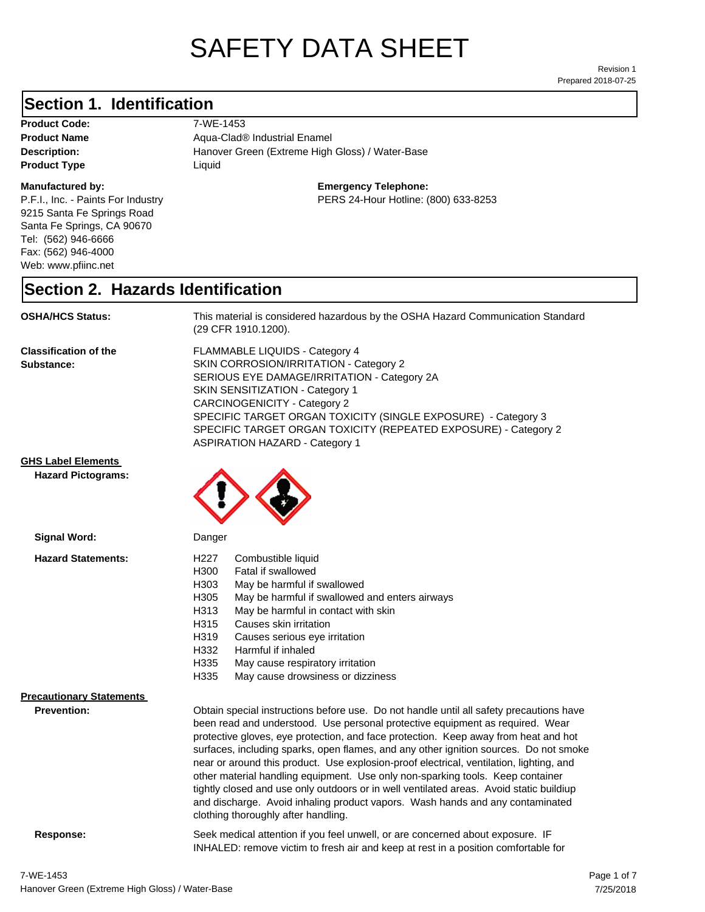# SAFETY DATA SHEET

Prepared 2018-07-25 Revision 1

#### **Section 1. Identification**

**Product Code:** 7-WE-1453 **Product Type Liquid Liquid** 

#### **Manufactured by:**

P.F.I., Inc. - Paints For Industry 9215 Santa Fe Springs Road Santa Fe Springs, CA 90670 Tel: (562) 946-6666 Fax: (562) 946-4000 Web: www.pfiinc.net

**Description: Hanover Green (Extreme High Gloss)** / Water-Base **Product Name** Aqua-Clad<sup>®</sup> Industrial Enamel

#### **Emergency Telephone:**

PERS 24-Hour Hotline: (800) 633-8253

#### **Section 2. Hazards Identification**

**OSHA/HCS Status:** This material is considered hazardous by the OSHA Hazard Communication Standard (29 CFR 1910.1200).

**Classification of the Substance:**

FLAMMABLE LIQUIDS - Category 4 SKIN CORROSION/IRRITATION - Category 2 SERIOUS EYE DAMAGE/IRRITATION - Category 2A SKIN SENSITIZATION - Category 1 CARCINOGENICITY - Category 2 SPECIFIC TARGET ORGAN TOXICITY (SINGLE EXPOSURE) - Category 3 SPECIFIC TARGET ORGAN TOXICITY (REPEATED EXPOSURE) - Category 2 ASPIRATION HAZARD - Category 1

INHALED: remove victim to fresh air and keep at rest in a position comfortable for

**GHS Label Elements**

**Hazard Pictograms:**



| Signal Word:                                          | Danger                                                                                                                                                                                                                                                                                                                                                                                                                                                                                                                                                                                                                                                                                                                                                   |
|-------------------------------------------------------|----------------------------------------------------------------------------------------------------------------------------------------------------------------------------------------------------------------------------------------------------------------------------------------------------------------------------------------------------------------------------------------------------------------------------------------------------------------------------------------------------------------------------------------------------------------------------------------------------------------------------------------------------------------------------------------------------------------------------------------------------------|
| <b>Hazard Statements:</b>                             | H227<br>Combustible liquid<br>H300<br>Fatal if swallowed<br>H303<br>May be harmful if swallowed<br>H305<br>May be harmful if swallowed and enters airways<br>May be harmful in contact with skin<br>H313<br>H315<br>Causes skin irritation<br>H319<br>Causes serious eye irritation<br>H332<br>Harmful if inhaled<br>H335<br>May cause respiratory irritation<br>H335<br>May cause drowsiness or dizziness                                                                                                                                                                                                                                                                                                                                               |
| <b>Precautionary Statements</b><br><b>Prevention:</b> | Obtain special instructions before use. Do not handle until all safety precautions have<br>been read and understood. Use personal protective equipment as required. Wear<br>protective gloves, eye protection, and face protection. Keep away from heat and hot<br>surfaces, including sparks, open flames, and any other ignition sources. Do not smoke<br>near or around this product. Use explosion-proof electrical, ventilation, lighting, and<br>other material handling equipment. Use only non-sparking tools. Keep container<br>tightly closed and use only outdoors or in well ventilated areas. Avoid static buildiup<br>and discharge. Avoid inhaling product vapors. Wash hands and any contaminated<br>clothing thoroughly after handling. |
| Response:                                             | Seek medical attention if you feel unwell, or are concerned about exposure. IF                                                                                                                                                                                                                                                                                                                                                                                                                                                                                                                                                                                                                                                                           |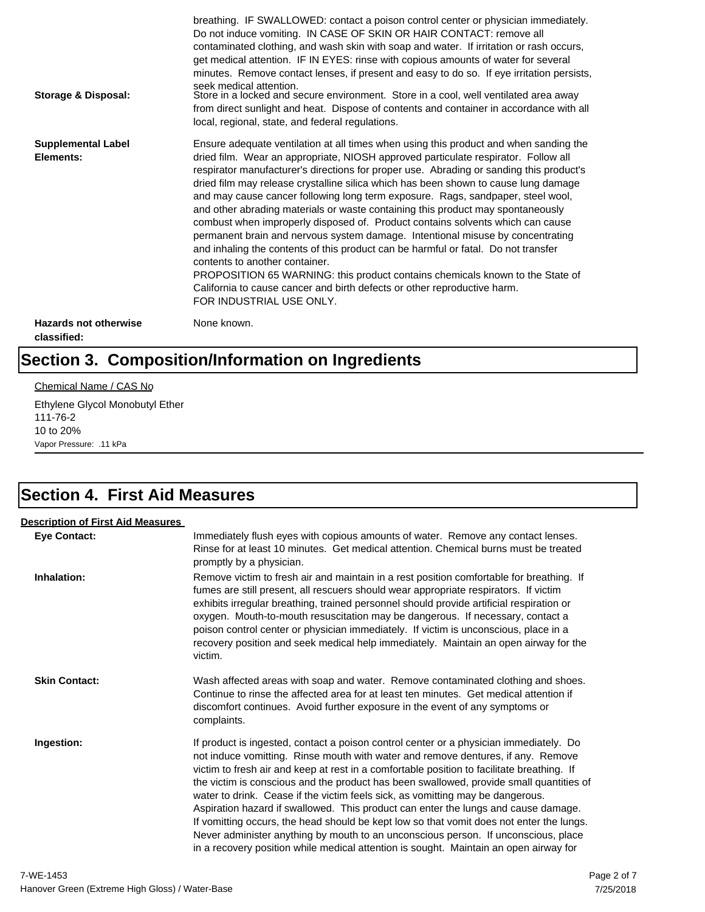| Storage & Disposal:                         | breathing. IF SWALLOWED: contact a poison control center or physician immediately.<br>Do not induce vomiting. IN CASE OF SKIN OR HAIR CONTACT: remove all<br>contaminated clothing, and wash skin with soap and water. If irritation or rash occurs,<br>get medical attention. IF IN EYES: rinse with copious amounts of water for several<br>minutes. Remove contact lenses, if present and easy to do so. If eye irritation persists,<br>seek medical attention.<br>Store in a locked and secure environment. Store in a cool, well ventilated area away<br>from direct sunlight and heat. Dispose of contents and container in accordance with all<br>local, regional, state, and federal regulations.                                                                                                                                                                                                                                                                                                                |
|---------------------------------------------|--------------------------------------------------------------------------------------------------------------------------------------------------------------------------------------------------------------------------------------------------------------------------------------------------------------------------------------------------------------------------------------------------------------------------------------------------------------------------------------------------------------------------------------------------------------------------------------------------------------------------------------------------------------------------------------------------------------------------------------------------------------------------------------------------------------------------------------------------------------------------------------------------------------------------------------------------------------------------------------------------------------------------|
| <b>Supplemental Label</b><br>Elements:      | Ensure adequate ventilation at all times when using this product and when sanding the<br>dried film. Wear an appropriate, NIOSH approved particulate respirator. Follow all<br>respirator manufacturer's directions for proper use. Abrading or sanding this product's<br>dried film may release crystalline silica which has been shown to cause lung damage<br>and may cause cancer following long term exposure. Rags, sandpaper, steel wool,<br>and other abrading materials or waste containing this product may spontaneously<br>combust when improperly disposed of. Product contains solvents which can cause<br>permanent brain and nervous system damage. Intentional misuse by concentrating<br>and inhaling the contents of this product can be harmful or fatal. Do not transfer<br>contents to another container.<br>PROPOSITION 65 WARNING: this product contains chemicals known to the State of<br>California to cause cancer and birth defects or other reproductive harm.<br>FOR INDUSTRIAL USE ONLY. |
| <b>Hazards not otherwise</b><br>classified: | None known.                                                                                                                                                                                                                                                                                                                                                                                                                                                                                                                                                                                                                                                                                                                                                                                                                                                                                                                                                                                                              |

# **Section 3. Composition/Information on Ingredients**

#### Chemical Name / CAS No

Ethylene Glycol Monobutyl Ether 111-76-2 10 to 20% Vapor Pressure: .11 kPa

## **Section 4. First Aid Measures**

| <b>Description of First Aid Measures</b> |                                                                                                                                                                                                                                                                                                                                                                                                                                                                                                                                                                                                                                                                                                                                                                                                                        |
|------------------------------------------|------------------------------------------------------------------------------------------------------------------------------------------------------------------------------------------------------------------------------------------------------------------------------------------------------------------------------------------------------------------------------------------------------------------------------------------------------------------------------------------------------------------------------------------------------------------------------------------------------------------------------------------------------------------------------------------------------------------------------------------------------------------------------------------------------------------------|
| <b>Eye Contact:</b>                      | Immediately flush eyes with copious amounts of water. Remove any contact lenses.<br>Rinse for at least 10 minutes. Get medical attention. Chemical burns must be treated<br>promptly by a physician.                                                                                                                                                                                                                                                                                                                                                                                                                                                                                                                                                                                                                   |
| Inhalation:                              | Remove victim to fresh air and maintain in a rest position comfortable for breathing. If<br>fumes are still present, all rescuers should wear appropriate respirators. If victim<br>exhibits irregular breathing, trained personnel should provide artificial respiration or<br>oxygen. Mouth-to-mouth resuscitation may be dangerous. If necessary, contact a<br>poison control center or physician immediately. If victim is unconscious, place in a<br>recovery position and seek medical help immediately. Maintain an open airway for the<br>victim.                                                                                                                                                                                                                                                              |
| <b>Skin Contact:</b>                     | Wash affected areas with soap and water. Remove contaminated clothing and shoes.<br>Continue to rinse the affected area for at least ten minutes. Get medical attention if<br>discomfort continues. Avoid further exposure in the event of any symptoms or<br>complaints.                                                                                                                                                                                                                                                                                                                                                                                                                                                                                                                                              |
| Ingestion:                               | If product is ingested, contact a poison control center or a physician immediately. Do<br>not induce vomitting. Rinse mouth with water and remove dentures, if any. Remove<br>victim to fresh air and keep at rest in a comfortable position to facilitate breathing. If<br>the victim is conscious and the product has been swallowed, provide small quantities of<br>water to drink. Cease if the victim feels sick, as vomitting may be dangerous.<br>Aspiration hazard if swallowed. This product can enter the lungs and cause damage.<br>If vomitting occurs, the head should be kept low so that vomit does not enter the lungs.<br>Never administer anything by mouth to an unconscious person. If unconscious, place<br>in a recovery position while medical attention is sought. Maintain an open airway for |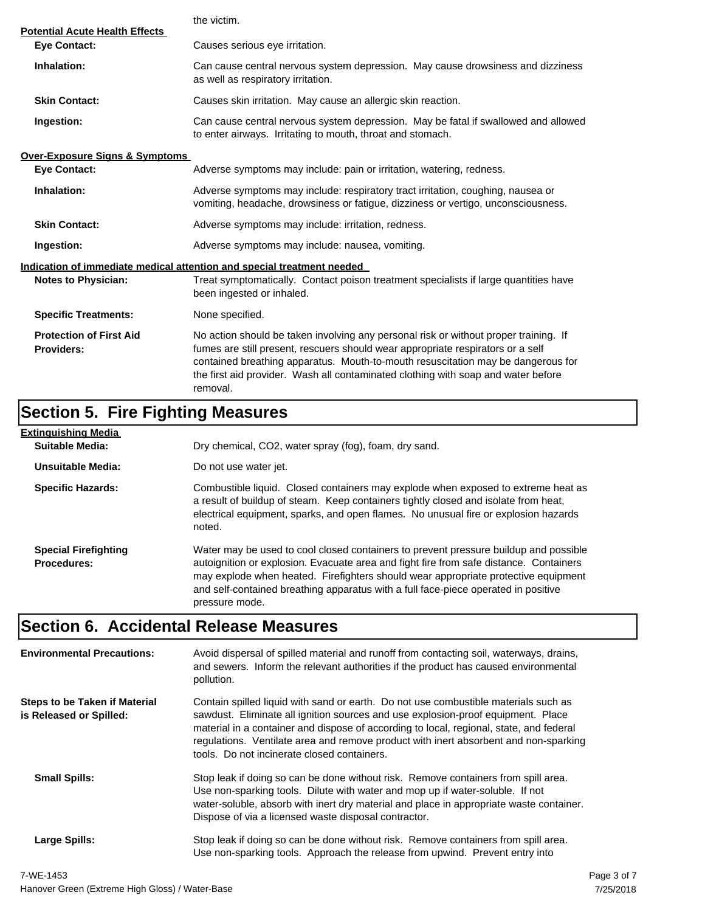|                                                              | the victim.                                                                                                                                                                                                                                                                                                                                                  |
|--------------------------------------------------------------|--------------------------------------------------------------------------------------------------------------------------------------------------------------------------------------------------------------------------------------------------------------------------------------------------------------------------------------------------------------|
| <b>Potential Acute Health Effects</b><br><b>Eye Contact:</b> | Causes serious eye irritation.                                                                                                                                                                                                                                                                                                                               |
| Inhalation:                                                  | Can cause central nervous system depression. May cause drowsiness and dizziness<br>as well as respiratory irritation.                                                                                                                                                                                                                                        |
| <b>Skin Contact:</b>                                         | Causes skin irritation. May cause an allergic skin reaction.                                                                                                                                                                                                                                                                                                 |
| Ingestion:                                                   | Can cause central nervous system depression. May be fatal if swallowed and allowed<br>to enter airways. Irritating to mouth, throat and stomach.                                                                                                                                                                                                             |
| <b>Over-Exposure Signs &amp; Symptoms</b>                    |                                                                                                                                                                                                                                                                                                                                                              |
| <b>Eye Contact:</b>                                          | Adverse symptoms may include: pain or irritation, watering, redness.                                                                                                                                                                                                                                                                                         |
| Inhalation:                                                  | Adverse symptoms may include: respiratory tract irritation, coughing, nausea or<br>vomiting, headache, drowsiness or fatigue, dizziness or vertigo, unconsciousness.                                                                                                                                                                                         |
| <b>Skin Contact:</b>                                         | Adverse symptoms may include: irritation, redness.                                                                                                                                                                                                                                                                                                           |
| Ingestion:                                                   | Adverse symptoms may include: nausea, vomiting.                                                                                                                                                                                                                                                                                                              |
|                                                              | Indication of immediate medical attention and special treatment needed                                                                                                                                                                                                                                                                                       |
| <b>Notes to Physician:</b>                                   | Treat symptomatically. Contact poison treatment specialists if large quantities have<br>been ingested or inhaled.                                                                                                                                                                                                                                            |
| <b>Specific Treatments:</b>                                  | None specified.                                                                                                                                                                                                                                                                                                                                              |
| <b>Protection of First Aid</b><br><b>Providers:</b>          | No action should be taken involving any personal risk or without proper training. If<br>fumes are still present, rescuers should wear appropriate respirators or a self<br>contained breathing apparatus. Mouth-to-mouth resuscitation may be dangerous for<br>the first aid provider. Wash all contaminated clothing with soap and water before<br>removal. |

# **Section 5. Fire Fighting Measures**

| Extinguishing Media                               |                                                                                                                                                                                                                                                                                                                                                                              |
|---------------------------------------------------|------------------------------------------------------------------------------------------------------------------------------------------------------------------------------------------------------------------------------------------------------------------------------------------------------------------------------------------------------------------------------|
| Suitable Media:                                   | Dry chemical, CO2, water spray (fog), foam, dry sand.                                                                                                                                                                                                                                                                                                                        |
| Unsuitable Media:                                 | Do not use water jet.                                                                                                                                                                                                                                                                                                                                                        |
| <b>Specific Hazards:</b>                          | Combustible liquid. Closed containers may explode when exposed to extreme heat as<br>a result of buildup of steam. Keep containers tightly closed and isolate from heat,<br>electrical equipment, sparks, and open flames. No unusual fire or explosion hazards<br>noted.                                                                                                    |
| <b>Special Firefighting</b><br><b>Procedures:</b> | Water may be used to cool closed containers to prevent pressure buildup and possible<br>autoignition or explosion. Evacuate area and fight fire from safe distance. Containers<br>may explode when heated. Firefighters should wear appropriate protective equipment<br>and self-contained breathing apparatus with a full face-piece operated in positive<br>pressure mode. |

# **Section 6. Accidental Release Measures**

| <b>Environmental Precautions:</b>                               | Avoid dispersal of spilled material and runoff from contacting soil, waterways, drains,<br>and sewers. Inform the relevant authorities if the product has caused environmental<br>pollution.                                                                                                                                                                                                              |             |
|-----------------------------------------------------------------|-----------------------------------------------------------------------------------------------------------------------------------------------------------------------------------------------------------------------------------------------------------------------------------------------------------------------------------------------------------------------------------------------------------|-------------|
| <b>Steps to be Taken if Material</b><br>is Released or Spilled: | Contain spilled liquid with sand or earth. Do not use combustible materials such as<br>sawdust. Eliminate all ignition sources and use explosion-proof equipment. Place<br>material in a container and dispose of according to local, regional, state, and federal<br>regulations. Ventilate area and remove product with inert absorbent and non-sparking<br>tools. Do not incinerate closed containers. |             |
| <b>Small Spills:</b>                                            | Stop leak if doing so can be done without risk. Remove containers from spill area.<br>Use non-sparking tools. Dilute with water and mop up if water-soluble. If not<br>water-soluble, absorb with inert dry material and place in appropriate waste container.<br>Dispose of via a licensed waste disposal contractor.                                                                                    |             |
| Large Spills:                                                   | Stop leak if doing so can be done without risk. Remove containers from spill area.<br>Use non-sparking tools. Approach the release from upwind. Prevent entry into                                                                                                                                                                                                                                        |             |
| 7-WE-1453                                                       |                                                                                                                                                                                                                                                                                                                                                                                                           | Page 3 of 7 |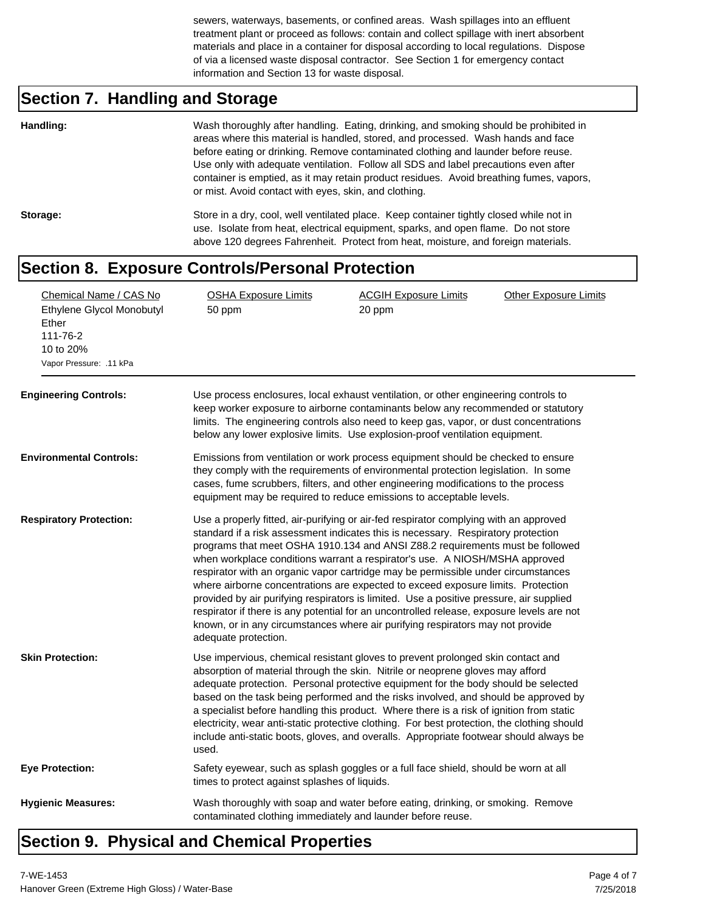sewers, waterways, basements, or confined areas. Wash spillages into an effluent treatment plant or proceed as follows: contain and collect spillage with inert absorbent materials and place in a container for disposal according to local regulations. Dispose of via a licensed waste disposal contractor. See Section 1 for emergency contact information and Section 13 for waste disposal.

# **Section 7. Handling and Storage**

| Handling: | Wash thoroughly after handling. Eating, drinking, and smoking should be prohibited in<br>areas where this material is handled, stored, and processed. Wash hands and face<br>before eating or drinking. Remove contaminated clothing and launder before reuse.<br>Use only with adequate ventilation. Follow all SDS and label precautions even after<br>container is emptied, as it may retain product residues. Avoid breathing fumes, vapors,<br>or mist. Avoid contact with eyes, skin, and clothing. |
|-----------|-----------------------------------------------------------------------------------------------------------------------------------------------------------------------------------------------------------------------------------------------------------------------------------------------------------------------------------------------------------------------------------------------------------------------------------------------------------------------------------------------------------|
| Storage:  | Store in a dry, cool, well ventilated place. Keep container tightly closed while not in<br>use. Isolate from heat, electrical equipment, sparks, and open flame. Do not store<br>above 120 degrees Fahrenheit. Protect from heat, moisture, and foreign materials.                                                                                                                                                                                                                                        |

#### **Section 8. Exposure Controls/Personal Protection**

| Chemical Name / CAS No<br>Ethylene Glycol Monobutyl<br>Ether<br>111-76-2<br>10 to 20%<br>Vapor Pressure: .11 kPa<br><b>Engineering Controls:</b> | <b>OSHA Exposure Limits</b><br>50 ppm                                                                                                                                                                                                                                                                                               | <b>ACGIH Exposure Limits</b><br>20 ppm<br>Use process enclosures, local exhaust ventilation, or other engineering controls to<br>keep worker exposure to airborne contaminants below any recommended or statutory<br>limits. The engineering controls also need to keep gas, vapor, or dust concentrations<br>below any lower explosive limits. Use explosion-proof ventilation equipment.                                                                                                                                                                                                                                                                                                                                                                                                    | <b>Other Exposure Limits</b> |
|--------------------------------------------------------------------------------------------------------------------------------------------------|-------------------------------------------------------------------------------------------------------------------------------------------------------------------------------------------------------------------------------------------------------------------------------------------------------------------------------------|-----------------------------------------------------------------------------------------------------------------------------------------------------------------------------------------------------------------------------------------------------------------------------------------------------------------------------------------------------------------------------------------------------------------------------------------------------------------------------------------------------------------------------------------------------------------------------------------------------------------------------------------------------------------------------------------------------------------------------------------------------------------------------------------------|------------------------------|
| <b>Environmental Controls:</b>                                                                                                                   | Emissions from ventilation or work process equipment should be checked to ensure<br>they comply with the requirements of environmental protection legislation. In some<br>cases, fume scrubbers, filters, and other engineering modifications to the process<br>equipment may be required to reduce emissions to acceptable levels. |                                                                                                                                                                                                                                                                                                                                                                                                                                                                                                                                                                                                                                                                                                                                                                                               |                              |
| <b>Respiratory Protection:</b>                                                                                                                   | adequate protection.                                                                                                                                                                                                                                                                                                                | Use a properly fitted, air-purifying or air-fed respirator complying with an approved<br>standard if a risk assessment indicates this is necessary. Respiratory protection<br>programs that meet OSHA 1910.134 and ANSI Z88.2 requirements must be followed<br>when workplace conditions warrant a respirator's use. A NIOSH/MSHA approved<br>respirator with an organic vapor cartridge may be permissible under circumstances<br>where airborne concentrations are expected to exceed exposure limits. Protection<br>provided by air purifying respirators is limited. Use a positive pressure, air supplied<br>respirator if there is any potential for an uncontrolled release, exposure levels are not<br>known, or in any circumstances where air purifying respirators may not provide |                              |
| <b>Skin Protection:</b>                                                                                                                          | used.                                                                                                                                                                                                                                                                                                                               | Use impervious, chemical resistant gloves to prevent prolonged skin contact and<br>absorption of material through the skin. Nitrile or neoprene gloves may afford<br>adequate protection. Personal protective equipment for the body should be selected<br>based on the task being performed and the risks involved, and should be approved by<br>a specialist before handling this product. Where there is a risk of ignition from static<br>electricity, wear anti-static protective clothing. For best protection, the clothing should<br>include anti-static boots, gloves, and overalls. Appropriate footwear should always be                                                                                                                                                           |                              |
| <b>Eye Protection:</b>                                                                                                                           | times to protect against splashes of liquids.                                                                                                                                                                                                                                                                                       | Safety eyewear, such as splash goggles or a full face shield, should be worn at all                                                                                                                                                                                                                                                                                                                                                                                                                                                                                                                                                                                                                                                                                                           |                              |
| <b>Hygienic Measures:</b>                                                                                                                        | contaminated clothing immediately and launder before reuse.                                                                                                                                                                                                                                                                         | Wash thoroughly with soap and water before eating, drinking, or smoking. Remove                                                                                                                                                                                                                                                                                                                                                                                                                                                                                                                                                                                                                                                                                                               |                              |

### **Section 9. Physical and Chemical Properties**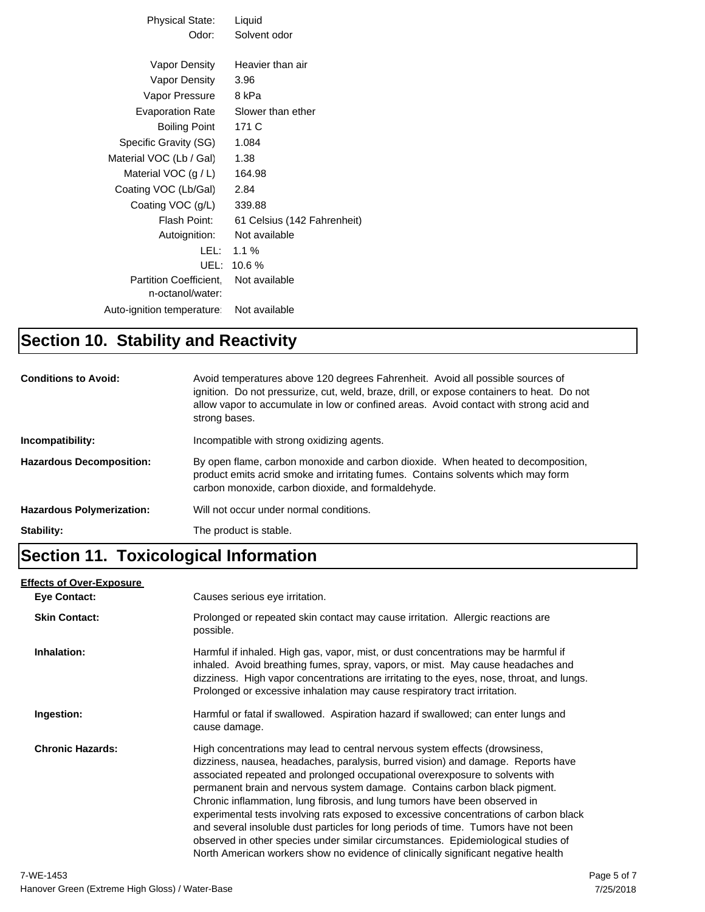| Physical State:                                   | Liquid                      |
|---------------------------------------------------|-----------------------------|
| Odor:                                             | Solvent odor                |
|                                                   |                             |
| Vapor Density                                     | Heavier than air            |
| Vapor Density                                     | 3.96                        |
| Vapor Pressure                                    | 8 kPa                       |
| Evaporation Rate                                  | Slower than ether           |
| Boiling Point                                     | 171 C                       |
| Specific Gravity (SG)                             | 1.084                       |
| Material VOC (Lb / Gal)                           | 1.38                        |
| Material VOC $(g/L)$                              | 164.98                      |
| Coating VOC (Lb/Gal)                              | 2.84                        |
| Coating VOC (g/L)                                 | 339.88                      |
| Flash Point:                                      | 61 Celsius (142 Fahrenheit) |
| Autoignition:                                     | Not available               |
| LEL: L                                            | 1.1%                        |
| UEL: I                                            | 10.6%                       |
| <b>Partition Coefficient.</b><br>n-octanol/water: | Not available               |
|                                                   |                             |
| Auto-ignition temperature:                        | Not available               |

## **Section 10. Stability and Reactivity**

| <b>Conditions to Avoid:</b>      | Avoid temperatures above 120 degrees Fahrenheit. Avoid all possible sources of<br>ignition. Do not pressurize, cut, weld, braze, drill, or expose containers to heat. Do not<br>allow vapor to accumulate in low or confined areas. Avoid contact with strong acid and<br>strong bases. |
|----------------------------------|-----------------------------------------------------------------------------------------------------------------------------------------------------------------------------------------------------------------------------------------------------------------------------------------|
| Incompatibility:                 | Incompatible with strong oxidizing agents.                                                                                                                                                                                                                                              |
| <b>Hazardous Decomposition:</b>  | By open flame, carbon monoxide and carbon dioxide. When heated to decomposition,<br>product emits acrid smoke and irritating fumes. Contains solvents which may form<br>carbon monoxide, carbon dioxide, and formaldehyde.                                                              |
| <b>Hazardous Polymerization:</b> | Will not occur under normal conditions.                                                                                                                                                                                                                                                 |
| Stability:                       | The product is stable.                                                                                                                                                                                                                                                                  |

# **Section 11. Toxicological Information**

#### **Effects of Over-Exposure**

| Eye Contact:            | Causes serious eye irritation.                                                                                                                                                                                                                                                                                                                                                                                                                                                                                                                                                                                                                                                                                                                                       |
|-------------------------|----------------------------------------------------------------------------------------------------------------------------------------------------------------------------------------------------------------------------------------------------------------------------------------------------------------------------------------------------------------------------------------------------------------------------------------------------------------------------------------------------------------------------------------------------------------------------------------------------------------------------------------------------------------------------------------------------------------------------------------------------------------------|
| <b>Skin Contact:</b>    | Prolonged or repeated skin contact may cause irritation. Allergic reactions are<br>possible.                                                                                                                                                                                                                                                                                                                                                                                                                                                                                                                                                                                                                                                                         |
| Inhalation:             | Harmful if inhaled. High gas, vapor, mist, or dust concentrations may be harmful if<br>inhaled. Avoid breathing fumes, spray, vapors, or mist. May cause headaches and<br>dizziness. High vapor concentrations are irritating to the eyes, nose, throat, and lungs.<br>Prolonged or excessive inhalation may cause respiratory tract irritation.                                                                                                                                                                                                                                                                                                                                                                                                                     |
| Ingestion:              | Harmful or fatal if swallowed. Aspiration hazard if swallowed; can enter lungs and<br>cause damage.                                                                                                                                                                                                                                                                                                                                                                                                                                                                                                                                                                                                                                                                  |
| <b>Chronic Hazards:</b> | High concentrations may lead to central nervous system effects (drowsiness,<br>dizziness, nausea, headaches, paralysis, burred vision) and damage. Reports have<br>associated repeated and prolonged occupational overexposure to solvents with<br>permanent brain and nervous system damage. Contains carbon black pigment.<br>Chronic inflammation, lung fibrosis, and lung tumors have been observed in<br>experimental tests involving rats exposed to excessive concentrations of carbon black<br>and several insoluble dust particles for long periods of time. Tumors have not been<br>observed in other species under similar circumstances. Epidemiological studies of<br>North American workers show no evidence of clinically significant negative health |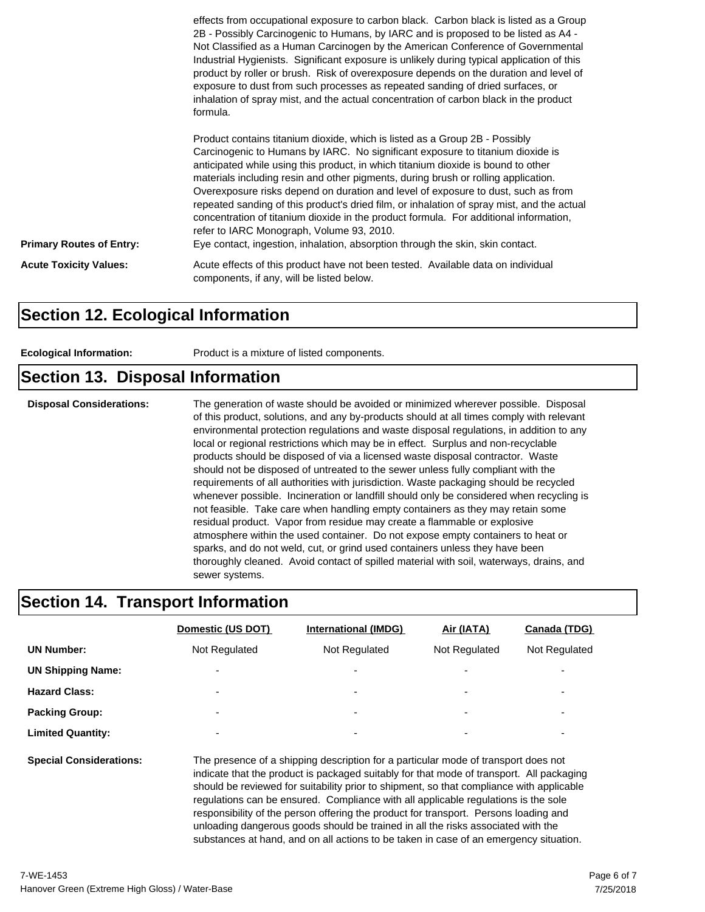|                                 | effects from occupational exposure to carbon black. Carbon black is listed as a Group<br>2B - Possibly Carcinogenic to Humans, by IARC and is proposed to be listed as A4 -<br>Not Classified as a Human Carcinogen by the American Conference of Governmental<br>Industrial Hygienists. Significant exposure is unlikely during typical application of this<br>product by roller or brush. Risk of overexposure depends on the duration and level of<br>exposure to dust from such processes as repeated sanding of dried surfaces, or<br>inhalation of spray mist, and the actual concentration of carbon black in the product<br>formula.                                                                                                        |
|---------------------------------|-----------------------------------------------------------------------------------------------------------------------------------------------------------------------------------------------------------------------------------------------------------------------------------------------------------------------------------------------------------------------------------------------------------------------------------------------------------------------------------------------------------------------------------------------------------------------------------------------------------------------------------------------------------------------------------------------------------------------------------------------------|
| <b>Primary Routes of Entry:</b> | Product contains titanium dioxide, which is listed as a Group 2B - Possibly<br>Carcinogenic to Humans by IARC. No significant exposure to titanium dioxide is<br>anticipated while using this product, in which titanium dioxide is bound to other<br>materials including resin and other pigments, during brush or rolling application.<br>Overexposure risks depend on duration and level of exposure to dust, such as from<br>repeated sanding of this product's dried film, or inhalation of spray mist, and the actual<br>concentration of titanium dioxide in the product formula. For additional information,<br>refer to IARC Monograph, Volume 93, 2010.<br>Eye contact, ingestion, inhalation, absorption through the skin, skin contact. |
| <b>Acute Toxicity Values:</b>   | Acute effects of this product have not been tested. Available data on individual<br>components, if any, will be listed below.                                                                                                                                                                                                                                                                                                                                                                                                                                                                                                                                                                                                                       |

#### **Section 12. Ecological Information**

| Product is a mixture of listed components.<br><b>Ecological Information:</b> |  |
|------------------------------------------------------------------------------|--|
|------------------------------------------------------------------------------|--|

#### **Section 13. Disposal Information**

**Disposal Considerations:** The generation of waste should be avoided or minimized wherever possible. Disposal of this product, solutions, and any by-products should at all times comply with relevant environmental protection regulations and waste disposal regulations, in addition to any local or regional restrictions which may be in effect. Surplus and non-recyclable products should be disposed of via a licensed waste disposal contractor. Waste should not be disposed of untreated to the sewer unless fully compliant with the requirements of all authorities with jurisdiction. Waste packaging should be recycled whenever possible. Incineration or landfill should only be considered when recycling is not feasible. Take care when handling empty containers as they may retain some residual product. Vapor from residue may create a flammable or explosive atmosphere within the used container. Do not expose empty containers to heat or sparks, and do not weld, cut, or grind used containers unless they have been thoroughly cleaned. Avoid contact of spilled material with soil, waterways, drains, and sewer systems.

#### **Section 14. Transport Information**

|                                | Domestic (US DOT)                                                                                                                                                                                                                                                          | International (IMDG)     | Air (IATA)    | Canada (TDG)  |  |
|--------------------------------|----------------------------------------------------------------------------------------------------------------------------------------------------------------------------------------------------------------------------------------------------------------------------|--------------------------|---------------|---------------|--|
| <b>UN Number:</b>              | Not Regulated                                                                                                                                                                                                                                                              | Not Regulated            | Not Regulated | Not Regulated |  |
| <b>UN Shipping Name:</b>       |                                                                                                                                                                                                                                                                            |                          |               |               |  |
| <b>Hazard Class:</b>           |                                                                                                                                                                                                                                                                            |                          |               | -             |  |
| <b>Packing Group:</b>          |                                                                                                                                                                                                                                                                            | $\overline{\phantom{a}}$ |               | -             |  |
| <b>Limited Quantity:</b>       |                                                                                                                                                                                                                                                                            | $\overline{\phantom{a}}$ |               |               |  |
| <b>Special Considerations:</b> | The presence of a shipping description for a particular mode of transport does not<br>indicate that the product is packaged suitably for that mode of transport. All packaging<br>chould be reviewed for quitability prior to chipment, so that compliance with applicable |                          |               |               |  |

should be reviewed for suitability prior to shipment, so that compliance with applicable regulations can be ensured. Compliance with all applicable regulations is the sole responsibility of the person offering the product for transport. Persons loading and unloading dangerous goods should be trained in all the risks associated with the substances at hand, and on all actions to be taken in case of an emergency situation.